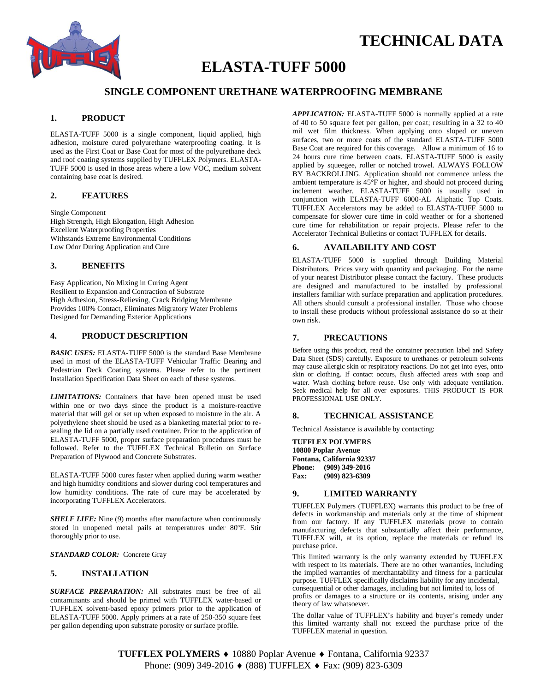

# **TECHNICAL DATA**

# **ELASTA-TUFF 5000**

# **SINGLE COMPONENT URETHANE WATERPROOFING MEMBRANE**

# **1. PRODUCT**

ELASTA-TUFF 5000 is a single component, liquid applied, high adhesion, moisture cured polyurethane waterproofing coating. It is used as the First Coat or Base Coat for most of the polyurethane deck and roof coating systems supplied by TUFFLEX Polymers. ELASTA-TUFF 5000 is used in those areas where a low VOC, medium solvent containing base coat is desired.

### **2. FEATURES**

Single Component High Strength, High Elongation, High Adhesion Excellent Waterproofing Properties Withstands Extreme Environmental Conditions Low Odor During Application and Cure

### **3. BENEFITS**

Easy Application, No Mixing in Curing Agent Resilient to Expansion and Contraction of Substrate High Adhesion, Stress-Relieving, Crack Bridging Membrane Provides 100% Contact, Eliminates Migratory Water Problems Designed for Demanding Exterior Applications

## **4. PRODUCT DESCRIPTION**

*BASIC USES:* ELASTA-TUFF 5000 is the standard Base Membrane used in most of the ELASTA-TUFF Vehicular Traffic Bearing and Pedestrian Deck Coating systems. Please refer to the pertinent Installation Specification Data Sheet on each of these systems.

*LIMITATIONS:* Containers that have been opened must be used within one or two days since the product is a moisture-reactive material that will gel or set up when exposed to moisture in the air. A polyethylene sheet should be used as a blanketing material prior to resealing the lid on a partially used container. Prior to the application of ELASTA-TUFF 5000, proper surface preparation procedures must be followed. Refer to the TUFFLEX Technical Bulletin on Surface Preparation of Plywood and Concrete Substrates.

ELASTA-TUFF 5000 cures faster when applied during warm weather and high humidity conditions and slower during cool temperatures and low humidity conditions. The rate of cure may be accelerated by incorporating TUFFLEX Accelerators.

*SHELF LIFE:* Nine (9) months after manufacture when continuously stored in unopened metal pails at temperatures under 80ºF. Stir thoroughly prior to use.

*STANDARD COLOR:* Concrete Gray

## **5. INSTALLATION**

*SURFACE PREPARATION:* All substrates must be free of all contaminants and should be primed with TUFFLEX water-based or TUFFLEX solvent-based epoxy primers prior to the application of ELASTA-TUFF 5000. Apply primers at a rate of 250-350 square feet per gallon depending upon substrate porosity or surface profile.

*APPLICATION:* ELASTA-TUFF 5000 is normally applied at a rate of 40 to 50 square feet per gallon, per coat; resulting in a 32 to 40 mil wet film thickness. When applying onto sloped or uneven surfaces, two or more coats of the standard ELASTA-TUFF 5000 Base Coat are required for this coverage. Allow a minimum of 16 to 24 hours cure time between coats. ELASTA-TUFF 5000 is easily applied by squeegee, roller or notched trowel. ALWAYS FOLLOW BY BACKROLLING. Application should not commence unless the ambient temperature is 45°F or higher, and should not proceed during inclement weather. ELASTA-TUFF 5000 is usually used in conjunction with ELASTA-TUFF 6000-AL Aliphatic Top Coats*.* TUFFLEX Accelerators may be added to ELASTA-TUFF 5000 to compensate for slower cure time in cold weather or for a shortened cure time for rehabilitation or repair projects. Please refer to the Accelerator Technical Bulletins or contact TUFFLEX for details.

### **6. AVAILABILITY AND COST**

ELASTA-TUFF 5000 is supplied through Building Material Distributors. Prices vary with quantity and packaging. For the name of your nearest Distributor please contact the factory. These products are designed and manufactured to be installed by professional installers familiar with surface preparation and application procedures. All others should consult a professional installer. Those who choose to install these products without professional assistance do so at their own risk.

#### **7. PRECAUTIONS**

Before using this product, read the container precaution label and Safety Data Sheet (SDS) carefully. Exposure to urethanes or petroleum solvents may cause allergic skin or respiratory reactions. Do not get into eyes, onto skin or clothing. If contact occurs, flush affected areas with soap and water. Wash clothing before reuse. Use only with adequate ventilation. Seek medical help for all over exposures. THIS PRODUCT IS FOR PROFESSIONAL USE ONLY.

### **8. TECHNICAL ASSISTANCE**

Technical Assistance is available by contacting:

**TUFFLEX POLYMERS 10880 Poplar Avenue Fontana, California 92337 Phone:** (909) 349-2016<br>**Fax:** (909) 823-6309 **Fax: (909) 823-6309**

#### **9. LIMITED WARRANTY**

TUFFLEX Polymers (TUFFLEX) warrants this product to be free of defects in workmanship and materials only at the time of shipment from our factory. If any TUFFLEX materials prove to contain manufacturing defects that substantially affect their performance, TUFFLEX will, at its option, replace the materials or refund its purchase price.

This limited warranty is the only warranty extended by TUFFLEX with respect to its materials. There are no other warranties, including the implied warranties of merchantability and fitness for a particular purpose. TUFFLEX specifically disclaims liability for any incidental, consequential or other damages, including but not limited to, loss of

profits or damages to a structure or its contents, arising under any theory of law whatsoever.

The dollar value of TUFFLEX's liability and buyer's remedy under this limited warranty shall not exceed the purchase price of the TUFFLEX material in question.

**TUFFLEX POLYMERS ♦ 10880 Poplar Avenue ♦ Fontana, California 92337** Phone: (909) 349-2016 ♦ (888) TUFFLEX ♦ Fax: (909) 823-6309